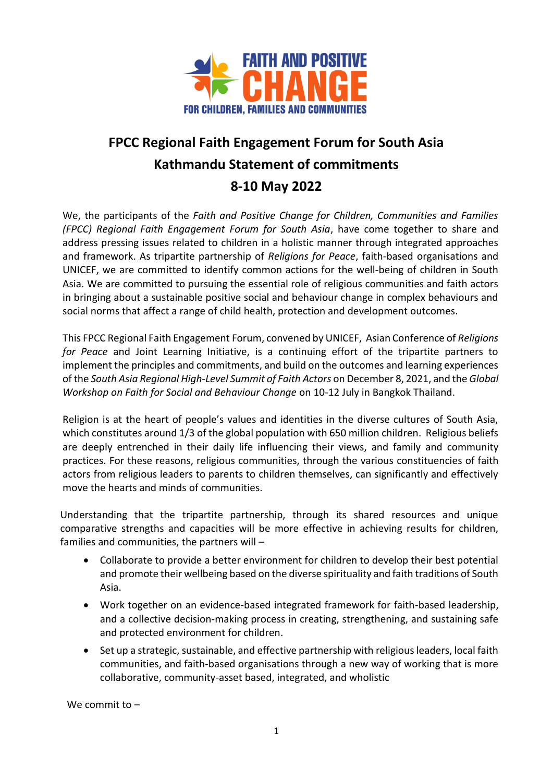

## **FPCC Regional Faith Engagement Forum for South Asia Kathmandu Statement of commitments 8-10 May 2022**

We, the participants of the *Faith and Positive Change for Children, Communities and Families (FPCC) Regional Faith Engagement Forum for South Asia*, have come together to share and address pressing issues related to children in a holistic manner through integrated approaches and framework. As tripartite partnership of *Religions for Peace*, faith-based organisations and UNICEF, we are committed to identify common actions for the well-being of children in South Asia. We are committed to pursuing the essential role of religious communities and faith actors in bringing about a sustainable positive social and behaviour change in complex behaviours and social norms that affect a range of child health, protection and development outcomes.

This FPCC Regional Faith Engagement Forum, convened by UNICEF, Asian Conference of *Religions for Peace* and Joint Learning Initiative, is a continuing effort of the tripartite partners to implement the principles and commitments, and build on the outcomes and learning experiences of the *South Asia Regional High-Level Summit of Faith Actors* on December 8, 2021, and the *Global Workshop on Faith for Social and Behaviour Change* on 10-12 July in Bangkok Thailand.

Religion is at the heart of people's values and identities in the diverse cultures of South Asia, which constitutes around 1/3 of the global population with 650 million children. Religious beliefs are deeply entrenched in their daily life influencing their views, and family and community practices. For these reasons, religious communities, through the various constituencies of faith actors from religious leaders to parents to children themselves, can significantly and effectively move the hearts and minds of communities.

Understanding that the tripartite partnership, through its shared resources and unique comparative strengths and capacities will be more effective in achieving results for children, families and communities, the partners will –

- Collaborate to provide a better environment for children to develop their best potential and promote their wellbeing based on the diverse spirituality and faith traditions of South Asia.
- Work together on an evidence-based integrated framework for faith-based leadership, and a collective decision-making process in creating, strengthening, and sustaining safe and protected environment for children.
- Set up a strategic, sustainable, and effective partnership with religious leaders, local faith communities, and faith-based organisations through a new way of working that is more collaborative, community-asset based, integrated, and wholistic

We commit to –